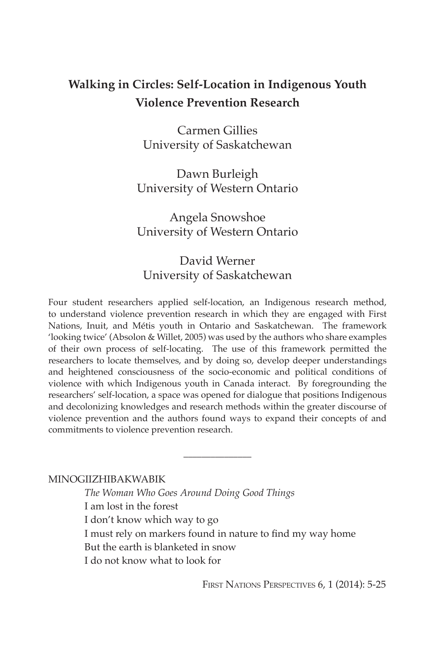# **Walking in Circles: Self-Location in Indigenous Youth Violence Prevention Research**

Carmen Gillies University of Saskatchewan

Dawn Burleigh University of Western Ontario

Angela Snowshoe University of Western Ontario

## David Werner University of Saskatchewan

Four student researchers applied self-location, an Indigenous research method, to understand violence prevention research in which they are engaged with First Nations, Inuit, and Métis youth in Ontario and Saskatchewan. The framework 'looking twice' (Absolon & Willet, 2005) was used by the authors who share examples of their own process of self-locating. The use of this framework permitted the researchers to locate themselves, and by doing so, develop deeper understandings and heightened consciousness of the socio-economic and political conditions of violence with which Indigenous youth in Canada interact. By foregrounding the researchers' self-location, a space was opened for dialogue that positions Indigenous and decolonizing knowledges and research methods within the greater discourse of violence prevention and the authors found ways to expand their concepts of and commitments to violence prevention research.

#### MINOGIIZHIBAKWABIK

*The Woman Who Goes Around Doing Good Things* I am lost in the forest I don't know which way to go I must rely on markers found in nature to find my way home But the earth is blanketed in snow I do not know what to look for

 $\overline{\phantom{a}}$  , where  $\overline{\phantom{a}}$ 

FIRST NATIONS PERSPECTIVES 6, 1 (2014): 5-25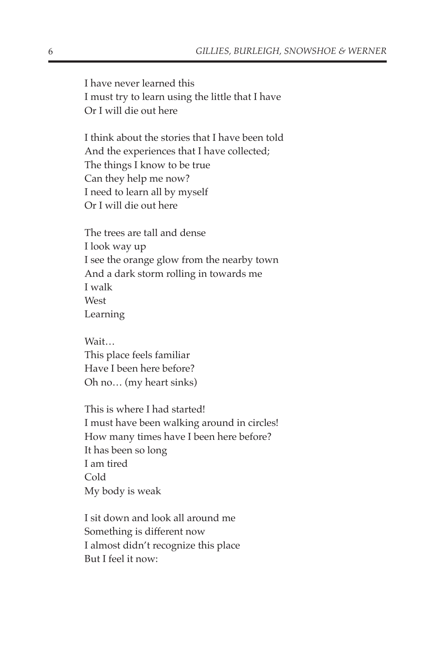I have never learned this I must try to learn using the little that I have Or I will die out here

I think about the stories that I have been told And the experiences that I have collected; The things I know to be true Can they help me now? I need to learn all by myself Or I will die out here

The trees are tall and dense I look way up I see the orange glow from the nearby town And a dark storm rolling in towards me I walk West Learning

Wait… This place feels familiar Have I been here before? Oh no… (my heart sinks)

This is where I had started! I must have been walking around in circles! How many times have I been here before? It has been so long I am tired Cold My body is weak

I sit down and look all around me Something is different now I almost didn't recognize this place But I feel it now: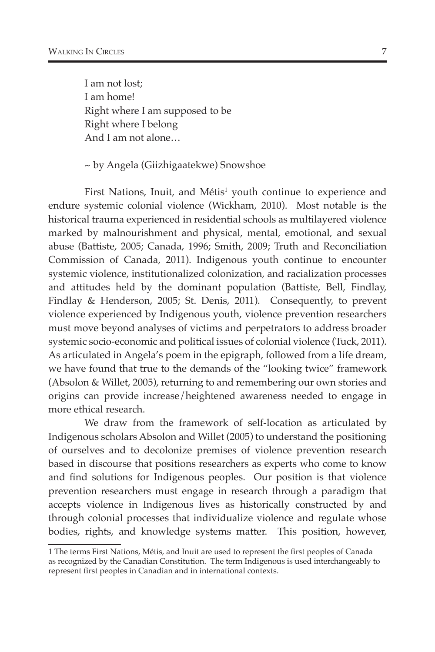I am not lost; I am home! Right where I am supposed to be Right where I belong And I am not alone…

~ by Angela (Giizhigaatekwe) Snowshoe

First Nations, Inuit, and Métis<sup>1</sup> youth continue to experience and endure systemic colonial violence (Wickham, 2010). Most notable is the historical trauma experienced in residential schools as multilayered violence marked by malnourishment and physical, mental, emotional, and sexual abuse (Battiste, 2005; Canada, 1996; Smith, 2009; Truth and Reconciliation Commission of Canada, 2011). Indigenous youth continue to encounter systemic violence, institutionalized colonization, and racialization processes and attitudes held by the dominant population (Battiste, Bell, Findlay, Findlay & Henderson, 2005; St. Denis, 2011). Consequently, to prevent violence experienced by Indigenous youth, violence prevention researchers must move beyond analyses of victims and perpetrators to address broader systemic socio-economic and political issues of colonial violence (Tuck, 2011). As articulated in Angela's poem in the epigraph, followed from a life dream, we have found that true to the demands of the "looking twice" framework (Absolon & Willet, 2005), returning to and remembering our own stories and origins can provide increase/heightened awareness needed to engage in more ethical research.

We draw from the framework of self-location as articulated by Indigenous scholars Absolon and Willet (2005) to understand the positioning of ourselves and to decolonize premises of violence prevention research based in discourse that positions researchers as experts who come to know and find solutions for Indigenous peoples. Our position is that violence prevention researchers must engage in research through a paradigm that accepts violence in Indigenous lives as historically constructed by and through colonial processes that individualize violence and regulate whose bodies, rights, and knowledge systems matter. This position, however,

<sup>1</sup> The terms First Nations, Métis, and Inuit are used to represent the first peoples of Canada as recognized by the Canadian Constitution. The term Indigenous is used interchangeably to represent first peoples in Canadian and in international contexts.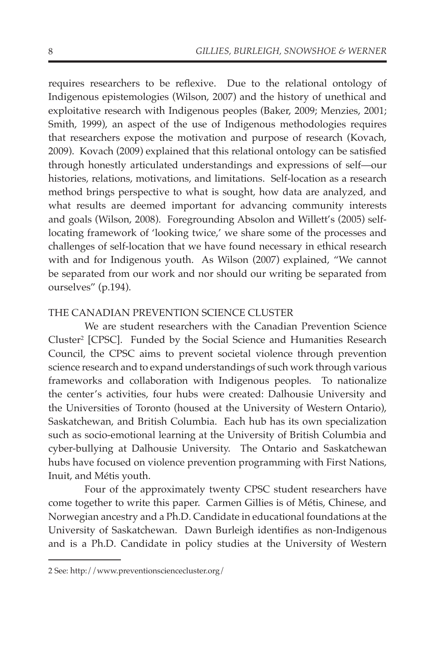requires researchers to be reflexive. Due to the relational ontology of Indigenous epistemologies (Wilson, 2007) and the history of unethical and exploitative research with Indigenous peoples (Baker, 2009; Menzies, 2001; Smith, 1999), an aspect of the use of Indigenous methodologies requires that researchers expose the motivation and purpose of research (Kovach, 2009). Kovach (2009) explained that this relational ontology can be satisfied through honestly articulated understandings and expressions of self—our histories, relations, motivations, and limitations. Self-location as a research method brings perspective to what is sought, how data are analyzed, and what results are deemed important for advancing community interests and goals (Wilson, 2008). Foregrounding Absolon and Willett's (2005) selflocating framework of 'looking twice,' we share some of the processes and challenges of self-location that we have found necessary in ethical research with and for Indigenous youth. As Wilson (2007) explained, "We cannot be separated from our work and nor should our writing be separated from ourselves" (p.194).

## THE CANADIAN PREVENTION SCIENCE CLUSTER

We are student researchers with the Canadian Prevention Science Cluster<sup>2</sup> [CPSC]. Funded by the Social Science and Humanities Research Council, the CPSC aims to prevent societal violence through prevention science research and to expand understandings of such work through various frameworks and collaboration with Indigenous peoples. To nationalize the center's activities, four hubs were created: Dalhousie University and the Universities of Toronto (housed at the University of Western Ontario), Saskatchewan, and British Columbia. Each hub has its own specialization such as socio-emotional learning at the University of British Columbia and cyber-bullying at Dalhousie University. The Ontario and Saskatchewan hubs have focused on violence prevention programming with First Nations, Inuit, and Métis youth.

Four of the approximately twenty CPSC student researchers have come together to write this paper. Carmen Gillies is of Métis, Chinese, and Norwegian ancestry and a Ph.D. Candidate in educational foundations at the University of Saskatchewan. Dawn Burleigh identifies as non-Indigenous and is a Ph.D. Candidate in policy studies at the University of Western

<sup>2</sup> See: http://www.preventionsciencecluster.org/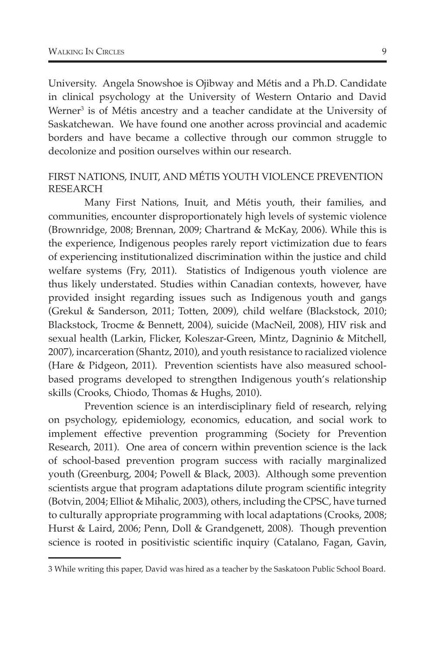University. Angela Snowshoe is Ojibway and Métis and a Ph.D. Candidate in clinical psychology at the University of Western Ontario and David Werner<sup>3</sup> is of Métis ancestry and a teacher candidate at the University of Saskatchewan. We have found one another across provincial and academic borders and have became a collective through our common struggle to decolonize and position ourselves within our research.

## FIRST NATIONS, INUIT, AND MÉTIS YOUTH VIOLENCE PREVENTION RESEARCH

Many First Nations, Inuit, and Métis youth, their families, and communities, encounter disproportionately high levels of systemic violence (Brownridge, 2008; Brennan, 2009; Chartrand & McKay, 2006). While this is the experience, Indigenous peoples rarely report victimization due to fears of experiencing institutionalized discrimination within the justice and child welfare systems (Fry, 2011). Statistics of Indigenous youth violence are thus likely understated. Studies within Canadian contexts, however, have provided insight regarding issues such as Indigenous youth and gangs (Grekul & Sanderson, 2011; Totten, 2009), child welfare (Blackstock, 2010; Blackstock, Trocme & Bennett, 2004), suicide (MacNeil, 2008), HIV risk and sexual health (Larkin, Flicker, Koleszar-Green, Mintz, Dagninio & Mitchell, 2007), incarceration (Shantz, 2010), and youth resistance to racialized violence (Hare & Pidgeon, 2011). Prevention scientists have also measured schoolbased programs developed to strengthen Indigenous youth's relationship skills (Crooks, Chiodo, Thomas & Hughs, 2010).

Prevention science is an interdisciplinary field of research, relying on psychology, epidemiology, economics, education, and social work to implement effective prevention programming (Society for Prevention Research, 2011). One area of concern within prevention science is the lack of school-based prevention program success with racially marginalized youth (Greenburg, 2004; Powell & Black, 2003). Although some prevention scientists argue that program adaptations dilute program scientific integrity (Botvin, 2004; Elliot & Mihalic, 2003), others, including the CPSC, have turned to culturally appropriate programming with local adaptations (Crooks, 2008; Hurst & Laird, 2006; Penn, Doll & Grandgenett, 2008). Though prevention science is rooted in positivistic scientific inquiry (Catalano, Fagan, Gavin,

<sup>3</sup> While writing this paper, David was hired as a teacher by the Saskatoon Public School Board.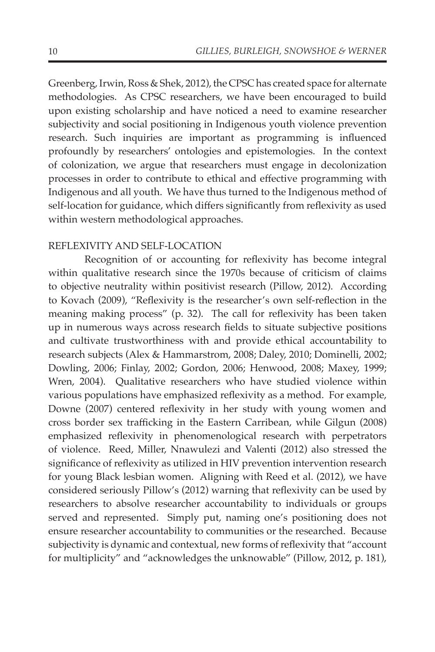Greenberg, Irwin, Ross & Shek, 2012), the CPSC has created space for alternate methodologies. As CPSC researchers, we have been encouraged to build upon existing scholarship and have noticed a need to examine researcher subjectivity and social positioning in Indigenous youth violence prevention research. Such inquiries are important as programming is influenced profoundly by researchers' ontologies and epistemologies. In the context of colonization, we argue that researchers must engage in decolonization processes in order to contribute to ethical and effective programming with Indigenous and all youth. We have thus turned to the Indigenous method of self-location for guidance, which differs significantly from reflexivity as used within western methodological approaches.

## REFLEXIVITY AND SELF-LOCATION

Recognition of or accounting for reflexivity has become integral within qualitative research since the 1970s because of criticism of claims to objective neutrality within positivist research (Pillow, 2012). According to Kovach (2009), "Reflexivity is the researcher's own self-reflection in the meaning making process" (p. 32). The call for reflexivity has been taken up in numerous ways across research fields to situate subjective positions and cultivate trustworthiness with and provide ethical accountability to research subjects (Alex & Hammarstrom, 2008; Daley, 2010; Dominelli, 2002; Dowling, 2006; Finlay, 2002; Gordon, 2006; Henwood, 2008; Maxey, 1999; Wren, 2004). Qualitative researchers who have studied violence within various populations have emphasized reflexivity as a method. For example, Downe (2007) centered reflexivity in her study with young women and cross border sex trafficking in the Eastern Carribean, while Gilgun (2008) emphasized reflexivity in phenomenological research with perpetrators of violence. Reed, Miller, Nnawulezi and Valenti (2012) also stressed the significance of reflexivity as utilized in HIV prevention intervention research for young Black lesbian women. Aligning with Reed et al. (2012), we have considered seriously Pillow's (2012) warning that reflexivity can be used by researchers to absolve researcher accountability to individuals or groups served and represented. Simply put, naming one's positioning does not ensure researcher accountability to communities or the researched. Because subjectivity is dynamic and contextual, new forms of reflexivity that "account for multiplicity" and "acknowledges the unknowable" (Pillow, 2012, p. 181),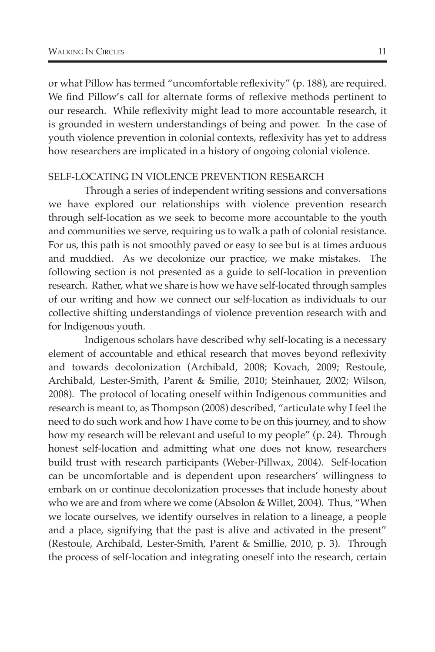or what Pillow has termed "uncomfortable reflexivity" (p. 188), are required. We find Pillow's call for alternate forms of reflexive methods pertinent to our research. While reflexivity might lead to more accountable research, it is grounded in western understandings of being and power. In the case of youth violence prevention in colonial contexts, reflexivity has yet to address how researchers are implicated in a history of ongoing colonial violence.

#### SELF-LOCATING IN VIOLENCE PREVENTION RESEARCH

Through a series of independent writing sessions and conversations we have explored our relationships with violence prevention research through self-location as we seek to become more accountable to the youth and communities we serve, requiring us to walk a path of colonial resistance. For us, this path is not smoothly paved or easy to see but is at times arduous and muddied. As we decolonize our practice, we make mistakes. The following section is not presented as a guide to self-location in prevention research. Rather, what we share is how we have self-located through samples of our writing and how we connect our self-location as individuals to our collective shifting understandings of violence prevention research with and for Indigenous youth.

Indigenous scholars have described why self-locating is a necessary element of accountable and ethical research that moves beyond reflexivity and towards decolonization (Archibald, 2008; Kovach, 2009; Restoule, Archibald, Lester-Smith, Parent & Smilie, 2010; Steinhauer, 2002; Wilson, 2008). The protocol of locating oneself within Indigenous communities and research is meant to, as Thompson (2008) described, "articulate why I feel the need to do such work and how I have come to be on this journey, and to show how my research will be relevant and useful to my people" (p. 24). Through honest self-location and admitting what one does not know, researchers build trust with research participants (Weber-Pillwax, 2004). Self-location can be uncomfortable and is dependent upon researchers' willingness to embark on or continue decolonization processes that include honesty about who we are and from where we come (Absolon & Willet, 2004). Thus, "When we locate ourselves, we identify ourselves in relation to a lineage, a people and a place, signifying that the past is alive and activated in the present" (Restoule, Archibald, Lester-Smith, Parent & Smillie, 2010, p. 3). Through the process of self-location and integrating oneself into the research, certain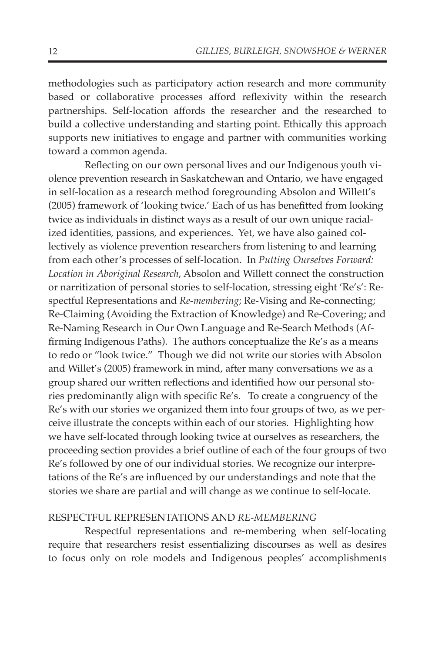methodologies such as participatory action research and more community based or collaborative processes afford reflexivity within the research partnerships. Self-location affords the researcher and the researched to build a collective understanding and starting point. Ethically this approach supports new initiatives to engage and partner with communities working toward a common agenda.

Reflecting on our own personal lives and our Indigenous youth violence prevention research in Saskatchewan and Ontario, we have engaged in self-location as a research method foregrounding Absolon and Willett's (2005) framework of 'looking twice.' Each of us has benefitted from looking twice as individuals in distinct ways as a result of our own unique racialized identities, passions, and experiences. Yet, we have also gained collectively as violence prevention researchers from listening to and learning from each other's processes of self-location. In *Putting Ourselves Forward: Location in Aboriginal Research*, Absolon and Willett connect the construction or narritization of personal stories to self-location, stressing eight 'Re's': Respectful Representations and *Re-membering*; Re-Vising and Re-connecting; Re-Claiming (Avoiding the Extraction of Knowledge) and Re-Covering; and Re-Naming Research in Our Own Language and Re-Search Methods (Affirming Indigenous Paths). The authors conceptualize the Re's as a means to redo or "look twice." Though we did not write our stories with Absolon and Willet's (2005) framework in mind, after many conversations we as a group shared our written reflections and identified how our personal stories predominantly align with specific Re's. To create a congruency of the Re's with our stories we organized them into four groups of two, as we perceive illustrate the concepts within each of our stories. Highlighting how we have self-located through looking twice at ourselves as researchers, the proceeding section provides a brief outline of each of the four groups of two Re's followed by one of our individual stories. We recognize our interpretations of the Re's are influenced by our understandings and note that the stories we share are partial and will change as we continue to self-locate.

#### RESPECTFUL REPRESENTATIONS AND *RE-MEMBERING*

Respectful representations and re-membering when self-locating require that researchers resist essentializing discourses as well as desires to focus only on role models and Indigenous peoples' accomplishments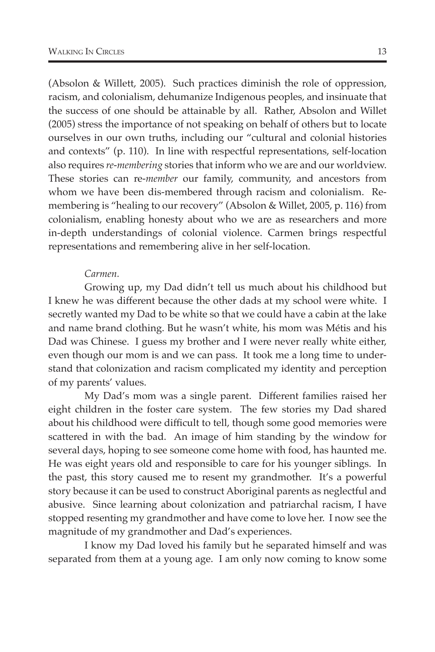(Absolon & Willett, 2005). Such practices diminish the role of oppression, racism, and colonialism, dehumanize Indigenous peoples, and insinuate that the success of one should be attainable by all. Rather, Absolon and Willet (2005) stress the importance of not speaking on behalf of others but to locate ourselves in our own truths, including our "cultural and colonial histories and contexts" (p. 110). In line with respectful representations, self-location also requires *re-membering* stories that inform who we are and our worldview. These stories can re-*member* our family, community, and ancestors from whom we have been dis-membered through racism and colonialism. Remembering is "healing to our recovery" (Absolon & Willet, 2005, p. 116) from colonialism, enabling honesty about who we are as researchers and more in-depth understandings of colonial violence. Carmen brings respectful representations and remembering alive in her self-location.

### *Carmen.*

Growing up, my Dad didn't tell us much about his childhood but I knew he was different because the other dads at my school were white. I secretly wanted my Dad to be white so that we could have a cabin at the lake and name brand clothing. But he wasn't white, his mom was Métis and his Dad was Chinese. I guess my brother and I were never really white either, even though our mom is and we can pass. It took me a long time to understand that colonization and racism complicated my identity and perception of my parents' values.

My Dad's mom was a single parent. Different families raised her eight children in the foster care system. The few stories my Dad shared about his childhood were difficult to tell, though some good memories were scattered in with the bad. An image of him standing by the window for several days, hoping to see someone come home with food, has haunted me. He was eight years old and responsible to care for his younger siblings. In the past, this story caused me to resent my grandmother. It's a powerful story because it can be used to construct Aboriginal parents as neglectful and abusive. Since learning about colonization and patriarchal racism, I have stopped resenting my grandmother and have come to love her. I now see the magnitude of my grandmother and Dad's experiences.

I know my Dad loved his family but he separated himself and was separated from them at a young age. I am only now coming to know some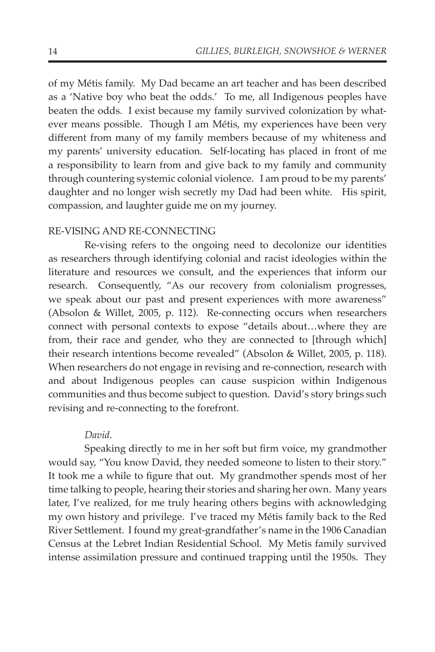of my Métis family. My Dad became an art teacher and has been described as a 'Native boy who beat the odds.' To me, all Indigenous peoples have beaten the odds. I exist because my family survived colonization by whatever means possible. Though I am Métis, my experiences have been very different from many of my family members because of my whiteness and my parents' university education. Self-locating has placed in front of me a responsibility to learn from and give back to my family and community through countering systemic colonial violence. I am proud to be my parents' daughter and no longer wish secretly my Dad had been white. His spirit, compassion, and laughter guide me on my journey.

## RE-VISING AND RE-CONNECTING

Re-vising refers to the ongoing need to decolonize our identities as researchers through identifying colonial and racist ideologies within the literature and resources we consult, and the experiences that inform our research. Consequently, "As our recovery from colonialism progresses, we speak about our past and present experiences with more awareness" (Absolon & Willet, 2005, p. 112). Re-connecting occurs when researchers connect with personal contexts to expose "details about…where they are from, their race and gender, who they are connected to [through which] their research intentions become revealed" (Absolon & Willet, 2005, p. 118). When researchers do not engage in revising and re-connection, research with and about Indigenous peoples can cause suspicion within Indigenous communities and thus become subject to question. David's story brings such revising and re-connecting to the forefront.

#### *David.*

Speaking directly to me in her soft but firm voice, my grandmother would say, "You know David, they needed someone to listen to their story." It took me a while to figure that out. My grandmother spends most of her time talking to people, hearing their stories and sharing her own. Many years later, I've realized, for me truly hearing others begins with acknowledging my own history and privilege. I've traced my Métis family back to the Red River Settlement. I found my great-grandfather's name in the 1906 Canadian Census at the Lebret Indian Residential School. My Metis family survived intense assimilation pressure and continued trapping until the 1950s. They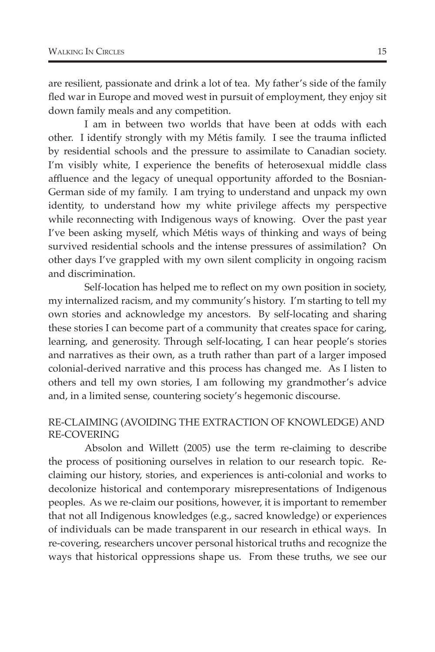are resilient, passionate and drink a lot of tea. My father's side of the family fled war in Europe and moved west in pursuit of employment, they enjoy sit down family meals and any competition.

I am in between two worlds that have been at odds with each other. I identify strongly with my Métis family. I see the trauma inflicted by residential schools and the pressure to assimilate to Canadian society. I'm visibly white, I experience the benefits of heterosexual middle class affluence and the legacy of unequal opportunity afforded to the Bosnian-German side of my family. I am trying to understand and unpack my own identity, to understand how my white privilege affects my perspective while reconnecting with Indigenous ways of knowing. Over the past year I've been asking myself, which Métis ways of thinking and ways of being survived residential schools and the intense pressures of assimilation? On other days I've grappled with my own silent complicity in ongoing racism and discrimination.

Self-location has helped me to reflect on my own position in society, my internalized racism, and my community's history. I'm starting to tell my own stories and acknowledge my ancestors. By self-locating and sharing these stories I can become part of a community that creates space for caring, learning, and generosity. Through self-locating, I can hear people's stories and narratives as their own, as a truth rather than part of a larger imposed colonial-derived narrative and this process has changed me. As I listen to others and tell my own stories, I am following my grandmother's advice and, in a limited sense, countering society's hegemonic discourse.

## RE-CLAIMING (AVOIDING THE EXTRACTION OF KNOWLEDGE) AND RE-COVERING

Absolon and Willett (2005) use the term re-claiming to describe the process of positioning ourselves in relation to our research topic. Reclaiming our history, stories, and experiences is anti-colonial and works to decolonize historical and contemporary misrepresentations of Indigenous peoples. As we re-claim our positions, however, it is important to remember that not all Indigenous knowledges (e.g., sacred knowledge) or experiences of individuals can be made transparent in our research in ethical ways. In re-covering, researchers uncover personal historical truths and recognize the ways that historical oppressions shape us. From these truths, we see our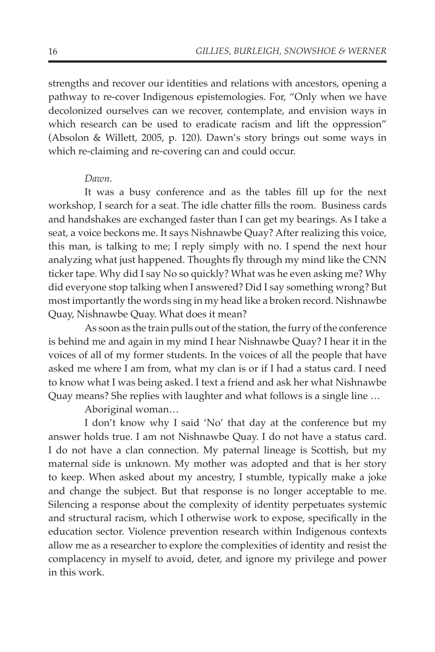strengths and recover our identities and relations with ancestors, opening a pathway to re-cover Indigenous epistemologies. For, "Only when we have decolonized ourselves can we recover, contemplate, and envision ways in which research can be used to eradicate racism and lift the oppression" (Absolon & Willett, 2005, p. 120). Dawn's story brings out some ways in which re-claiming and re-covering can and could occur.

## *Dawn.*

It was a busy conference and as the tables fill up for the next workshop, I search for a seat. The idle chatter fills the room. Business cards and handshakes are exchanged faster than I can get my bearings. As I take a seat, a voice beckons me. It says Nishnawbe Quay? After realizing this voice, this man, is talking to me; I reply simply with no. I spend the next hour analyzing what just happened. Thoughts fly through my mind like the CNN ticker tape. Why did I say No so quickly? What was he even asking me? Why did everyone stop talking when I answered? Did I say something wrong? But most importantly the words sing in my head like a broken record. Nishnawbe Quay, Nishnawbe Quay. What does it mean?

As soon as the train pulls out of the station, the furry of the conference is behind me and again in my mind I hear Nishnawbe Quay? I hear it in the voices of all of my former students. In the voices of all the people that have asked me where I am from, what my clan is or if I had a status card. I need to know what I was being asked. I text a friend and ask her what Nishnawbe Quay means? She replies with laughter and what follows is a single line …

Aboriginal woman…

I don't know why I said 'No' that day at the conference but my answer holds true. I am not Nishnawbe Quay. I do not have a status card. I do not have a clan connection. My paternal lineage is Scottish, but my maternal side is unknown. My mother was adopted and that is her story to keep. When asked about my ancestry, I stumble, typically make a joke and change the subject. But that response is no longer acceptable to me. Silencing a response about the complexity of identity perpetuates systemic and structural racism, which I otherwise work to expose, specifically in the education sector. Violence prevention research within Indigenous contexts allow me as a researcher to explore the complexities of identity and resist the complacency in myself to avoid, deter, and ignore my privilege and power in this work.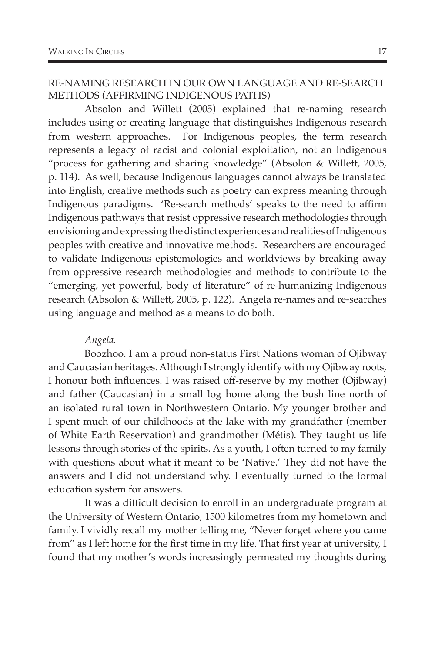## RE-NAMING RESEARCH IN OUR OWN LANGUAGE AND RE-SEARCH METHODS (AFFIRMING INDIGENOUS PATHS)

Absolon and Willett (2005) explained that re-naming research includes using or creating language that distinguishes Indigenous research from western approaches. For Indigenous peoples, the term research represents a legacy of racist and colonial exploitation, not an Indigenous "process for gathering and sharing knowledge" (Absolon & Willett, 2005, p. 114). As well, because Indigenous languages cannot always be translated into English, creative methods such as poetry can express meaning through Indigenous paradigms. 'Re-search methods' speaks to the need to affirm Indigenous pathways that resist oppressive research methodologies through envisioning and expressing the distinct experiences and realities of Indigenous peoples with creative and innovative methods. Researchers are encouraged to validate Indigenous epistemologies and worldviews by breaking away from oppressive research methodologies and methods to contribute to the "emerging, yet powerful, body of literature" of re-humanizing Indigenous research (Absolon & Willett, 2005, p. 122). Angela re-names and re-searches using language and method as a means to do both.

## *Angela.*

Boozhoo. I am a proud non-status First Nations woman of Ojibway and Caucasian heritages. Although I strongly identify with my Ojibway roots, I honour both influences. I was raised off-reserve by my mother (Ojibway) and father (Caucasian) in a small log home along the bush line north of an isolated rural town in Northwestern Ontario. My younger brother and I spent much of our childhoods at the lake with my grandfather (member of White Earth Reservation) and grandmother (Métis). They taught us life lessons through stories of the spirits. As a youth, I often turned to my family with questions about what it meant to be 'Native.' They did not have the answers and I did not understand why. I eventually turned to the formal education system for answers.

It was a difficult decision to enroll in an undergraduate program at the University of Western Ontario, 1500 kilometres from my hometown and family. I vividly recall my mother telling me, "Never forget where you came from" as I left home for the first time in my life. That first year at university, I found that my mother's words increasingly permeated my thoughts during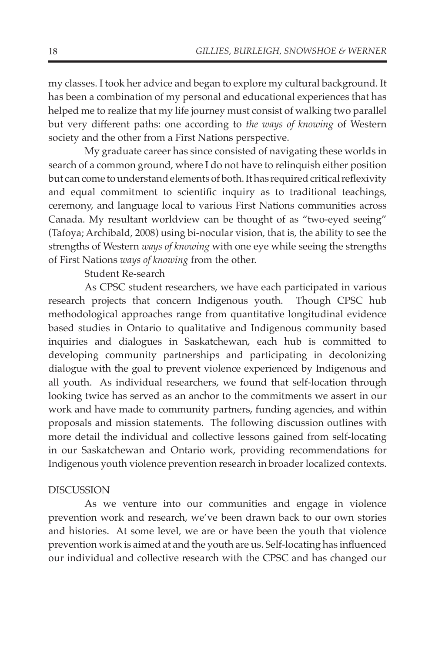my classes. I took her advice and began to explore my cultural background. It has been a combination of my personal and educational experiences that has helped me to realize that my life journey must consist of walking two parallel but very different paths: one according to *the ways of knowing* of Western society and the other from a First Nations perspective.

My graduate career has since consisted of navigating these worlds in search of a common ground, where I do not have to relinquish either position but can come to understand elements of both. It has required critical reflexivity and equal commitment to scientific inquiry as to traditional teachings, ceremony, and language local to various First Nations communities across Canada. My resultant worldview can be thought of as "two-eyed seeing" (Tafoya; Archibald, 2008) using bi-nocular vision, that is, the ability to see the strengths of Western *ways of knowing* with one eye while seeing the strengths of First Nations *ways of knowing* from the other.

## Student Re-search

As CPSC student researchers, we have each participated in various research projects that concern Indigenous youth. Though CPSC hub methodological approaches range from quantitative longitudinal evidence based studies in Ontario to qualitative and Indigenous community based inquiries and dialogues in Saskatchewan, each hub is committed to developing community partnerships and participating in decolonizing dialogue with the goal to prevent violence experienced by Indigenous and all youth. As individual researchers, we found that self-location through looking twice has served as an anchor to the commitments we assert in our work and have made to community partners, funding agencies, and within proposals and mission statements. The following discussion outlines with more detail the individual and collective lessons gained from self-locating in our Saskatchewan and Ontario work, providing recommendations for Indigenous youth violence prevention research in broader localized contexts.

## DISCUSSION

As we venture into our communities and engage in violence prevention work and research, we've been drawn back to our own stories and histories. At some level, we are or have been the youth that violence prevention work is aimed at and the youth are us. Self-locating has influenced our individual and collective research with the CPSC and has changed our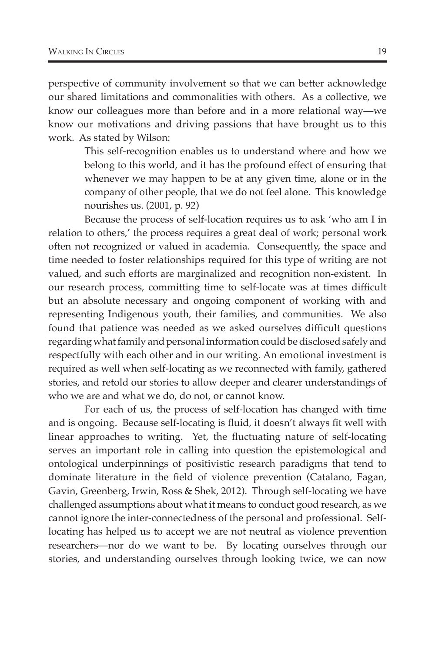perspective of community involvement so that we can better acknowledge our shared limitations and commonalities with others. As a collective, we know our colleagues more than before and in a more relational way—we know our motivations and driving passions that have brought us to this work. As stated by Wilson:

> This self-recognition enables us to understand where and how we belong to this world, and it has the profound effect of ensuring that whenever we may happen to be at any given time, alone or in the company of other people, that we do not feel alone. This knowledge nourishes us. (2001, p. 92)

Because the process of self-location requires us to ask 'who am I in relation to others,' the process requires a great deal of work; personal work often not recognized or valued in academia. Consequently, the space and time needed to foster relationships required for this type of writing are not valued, and such efforts are marginalized and recognition non-existent. In our research process, committing time to self-locate was at times difficult but an absolute necessary and ongoing component of working with and representing Indigenous youth, their families, and communities. We also found that patience was needed as we asked ourselves difficult questions regarding what family and personal information could be disclosed safely and respectfully with each other and in our writing. An emotional investment is required as well when self-locating as we reconnected with family, gathered stories, and retold our stories to allow deeper and clearer understandings of who we are and what we do, do not, or cannot know.

For each of us, the process of self-location has changed with time and is ongoing. Because self-locating is fluid, it doesn't always fit well with linear approaches to writing. Yet, the fluctuating nature of self-locating serves an important role in calling into question the epistemological and ontological underpinnings of positivistic research paradigms that tend to dominate literature in the field of violence prevention (Catalano, Fagan, Gavin, Greenberg, Irwin, Ross & Shek, 2012). Through self-locating we have challenged assumptions about what it means to conduct good research, as we cannot ignore the inter-connectedness of the personal and professional. Selflocating has helped us to accept we are not neutral as violence prevention researchers—nor do we want to be. By locating ourselves through our stories, and understanding ourselves through looking twice, we can now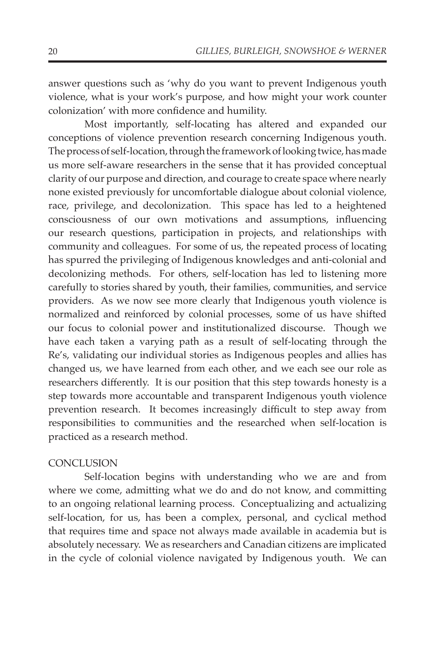answer questions such as 'why do you want to prevent Indigenous youth violence, what is your work's purpose, and how might your work counter colonization' with more confidence and humility.

Most importantly, self-locating has altered and expanded our conceptions of violence prevention research concerning Indigenous youth. The process of self-location, through the framework of looking twice, has made us more self-aware researchers in the sense that it has provided conceptual clarity of our purpose and direction, and courage to create space where nearly none existed previously for uncomfortable dialogue about colonial violence, race, privilege, and decolonization. This space has led to a heightened consciousness of our own motivations and assumptions, influencing our research questions, participation in projects, and relationships with community and colleagues. For some of us, the repeated process of locating has spurred the privileging of Indigenous knowledges and anti-colonial and decolonizing methods. For others, self-location has led to listening more carefully to stories shared by youth, their families, communities, and service providers. As we now see more clearly that Indigenous youth violence is normalized and reinforced by colonial processes, some of us have shifted our focus to colonial power and institutionalized discourse. Though we have each taken a varying path as a result of self-locating through the Re's, validating our individual stories as Indigenous peoples and allies has changed us, we have learned from each other, and we each see our role as researchers differently. It is our position that this step towards honesty is a step towards more accountable and transparent Indigenous youth violence prevention research. It becomes increasingly difficult to step away from responsibilities to communities and the researched when self-location is practiced as a research method.

## **CONCLUSION**

Self-location begins with understanding who we are and from where we come, admitting what we do and do not know, and committing to an ongoing relational learning process. Conceptualizing and actualizing self-location, for us, has been a complex, personal, and cyclical method that requires time and space not always made available in academia but is absolutely necessary. We as researchers and Canadian citizens are implicated in the cycle of colonial violence navigated by Indigenous youth. We can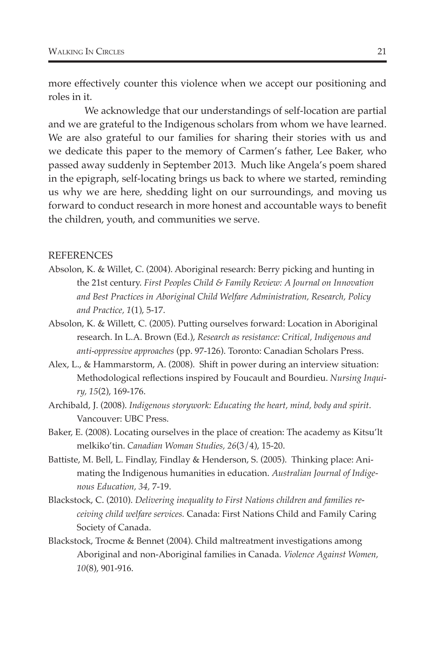more effectively counter this violence when we accept our positioning and roles in it.

We acknowledge that our understandings of self-location are partial and we are grateful to the Indigenous scholars from whom we have learned. We are also grateful to our families for sharing their stories with us and we dedicate this paper to the memory of Carmen's father, Lee Baker, who passed away suddenly in September 2013. Much like Angela's poem shared in the epigraph, self-locating brings us back to where we started, reminding us why we are here, shedding light on our surroundings, and moving us forward to conduct research in more honest and accountable ways to benefit the children, youth, and communities we serve.

#### REFERENCES

- Absolon, K. & Willet, C. (2004). Aboriginal research: Berry picking and hunting in the 21st century. *First Peoples Child & Family Review: A Journal on Innovation and Best Practices in Aboriginal Child Welfare Administration, Research, Policy and Practice, 1*(1), 5-17.
- Absolon, K. & Willett, C. (2005). Putting ourselves forward: Location in Aboriginal research. In L.A. Brown (Ed.), *Research as resistance: Critical, Indigenous and anti-oppressive approaches* (pp. 97-126). Toronto: Canadian Scholars Press.
- Alex, L., & Hammarstorm, A. (2008). Shift in power during an interview situation: Methodological reflections inspired by Foucault and Bourdieu. *Nursing Inquiry, 15*(2), 169-176.
- Archibald, J. (2008). *Indigenous storywork: Educating the heart, mind, body and spirit*. Vancouver: UBC Press.
- Baker, E. (2008). Locating ourselves in the place of creation: The academy as Kitsu'lt melkiko'tin. *Canadian Woman Studies, 26*(3/4), 15-20.
- Battiste, M. Bell, L. Findlay, Findlay & Henderson, S. (2005). Thinking place: Animating the Indigenous humanities in education. *Australian Journal of Indigenous Education, 34,* 7-19.
- Blackstock, C. (2010). *Delivering inequality to First Nations children and families receiving child welfare services.* Canada: First Nations Child and Family Caring Society of Canada.
- Blackstock, Trocme & Bennet (2004). Child maltreatment investigations among Aboriginal and non-Aboriginal families in Canada. *Violence Against Women, 10*(8), 901-916.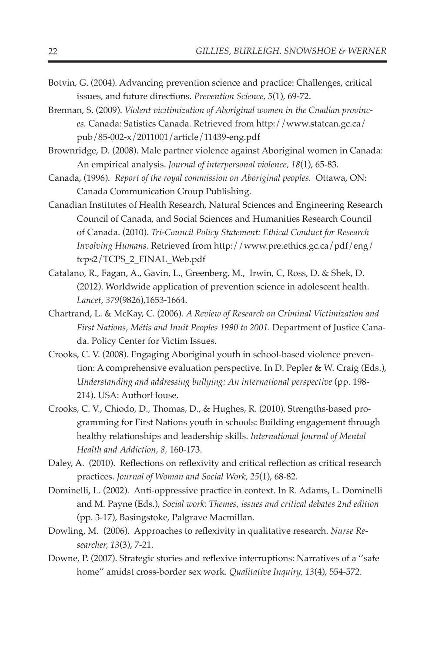- Botvin, G. (2004). Advancing prevention science and practice: Challenges, critical issues, and future directions. *Prevention Science, 5*(1), 69-72.
- Brennan, S. (2009). *Violent vicitimization of Aboriginal women in the Cnadian provinces.* Canada: Satistics Canada. Retrieved from http://www.statcan.gc.ca/ pub/85-002-x/2011001/article/11439-eng.pdf
- Brownridge, D. (2008). Male partner violence against Aboriginal women in Canada: An empirical analysis. *Journal of interpersonal violence, 18*(1), 65-83.
- Canada, (1996). *Report of the royal commission on Aboriginal peoples.* Ottawa, ON: Canada Communication Group Publishing.
- Canadian Institutes of Health Research, Natural Sciences and Engineering Research Council of Canada, and Social Sciences and Humanities Research Council of Canada. (2010). *Tri-Council Policy Statement: Ethical Conduct for Research Involving Humans*. Retrieved from http://www.pre.ethics.gc.ca/pdf/eng/ tcps2/TCPS\_2\_FINAL\_Web.pdf
- Catalano, R., Fagan, A., Gavin, L., Greenberg, M., Irwin, C, Ross, D. & Shek, D. (2012). Worldwide application of prevention science in adolescent health. *Lancet, 379*(9826),1653-1664.
- Chartrand, L. & McKay, C. (2006). *A Review of Research on Criminal Victimization and First Nations, Métis and Inuit Peoples 1990 to 2001.* Department of Justice Canada. Policy Center for Victim Issues.
- Crooks, C. V. (2008). Engaging Aboriginal youth in school-based violence prevention: A comprehensive evaluation perspective. In D. Pepler & W. Craig (Eds.), *Understanding and addressing bullying: An international perspective* (pp. 198- 214). USA: AuthorHouse.
- Crooks, C. V., Chiodo, D., Thomas, D., & Hughes, R. (2010). Strengths-based programming for First Nations youth in schools: Building engagement through healthy relationships and leadership skills. *International Journal of Mental Health and Addiction, 8,* 160-173.
- Daley, A. (2010). Reflections on reflexivity and critical reflection as critical research practices. *Journal of Woman and Social Work, 25*(1), 68-82.
- Dominelli, L. (2002). Anti-oppressive practice in context. In R. Adams, L. Dominelli and M. Payne (Eds.), *Social work: Themes, issues and critical debates 2nd edition* (pp. 3-17), Basingstoke, Palgrave Macmillan.
- Dowling, M. (2006). Approaches to reflexivity in qualitative research. *Nurse Researcher, 13*(3), 7-21.
- Downe, P. (2007). Strategic stories and reflexive interruptions: Narratives of a ''safe home'' amidst cross-border sex work. *Qualitative Inquiry, 13*(4), 554-572.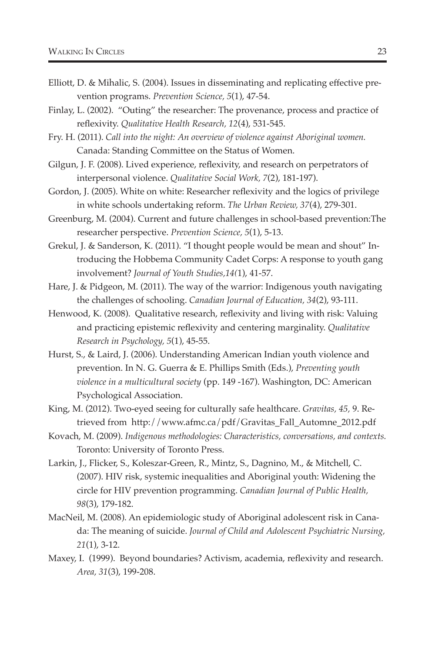- Elliott, D. & Mihalic, S. (2004). Issues in disseminating and replicating effective prevention programs. *Prevention Science, 5*(1), 47-54.
- Finlay, L. (2002). "Outing" the researcher: The provenance, process and practice of reflexivity. *Qualitative Health Research, 12*(4), 531-545.
- Fry. H. (2011). *Call into the night: An overview of violence against Aboriginal women.* Canada: Standing Committee on the Status of Women.
- Gilgun, J. F. (2008). Lived experience, reflexivity, and research on perpetrators of interpersonal violence. *Qualitative Social Work, 7*(2), 181-197).
- Gordon, J. (2005). White on white: Researcher reflexivity and the logics of privilege in white schools undertaking reform. *The Urban Review, 37*(4), 279-301.
- Greenburg, M. (2004). Current and future challenges in school-based prevention:The researcher perspective. *Prevention Science, 5*(1), 5-13.
- Grekul, J. & Sanderson, K. (2011). "I thought people would be mean and shout" Introducing the Hobbema Community Cadet Corps: A response to youth gang involvement? *Journal of Youth Studies,14(*1), 41-57.
- Hare, J. & Pidgeon, M. (2011). The way of the warrior: Indigenous youth navigating the challenges of schooling. *Canadian Journal of Education, 34*(2), 93-111.
- Henwood, K. (2008). Qualitative research, reflexivity and living with risk: Valuing and practicing epistemic reflexivity and centering marginality. *Qualitative Research in Psychology, 5*(1), 45-55.
- Hurst, S., & Laird, J. (2006). Understanding American Indian youth violence and prevention. In N. G. Guerra & E. Phillips Smith (Eds.), *Preventing youth violence in a multicultural society* (pp. 149 -167). Washington, DC: American Psychological Association.
- King, M. (2012). Two-eyed seeing for culturally safe healthcare. *Gravitas, 45,* 9. Retrieved from http://www.afmc.ca/pdf/Gravitas\_Fall\_Automne\_2012.pdf
- Kovach, M. (2009). *Indigenous methodologies: Characteristics, conversations, and contexts.* Toronto: University of Toronto Press.
- Larkin, J., Flicker, S., Koleszar-Green, R., Mintz, S., Dagnino, M., & Mitchell, C. (2007). HIV risk, systemic inequalities and Aboriginal youth: Widening the circle for HIV prevention programming. *Canadian Journal of Public Health, 98*(3), 179-182.
- MacNeil, M. (2008). An epidemiologic study of Aboriginal adolescent risk in Canada: The meaning of suicide. *Journal of Child and Adolescent Psychiatric Nursing, 21*(1), 3-12.
- Maxey, I. (1999). Beyond boundaries? Activism, academia, reflexivity and research. *Area, 31*(3), 199-208.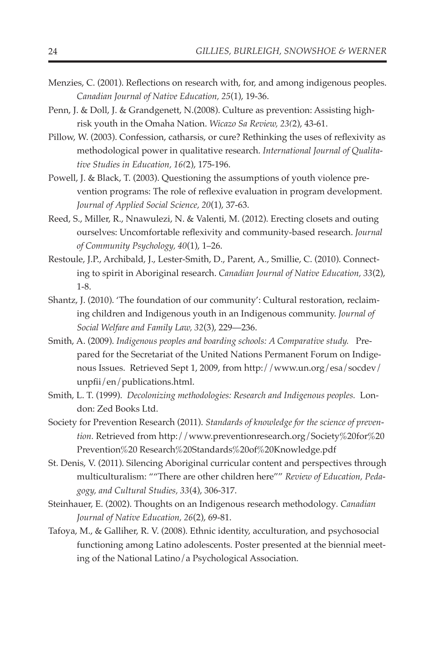- Menzies, C. (2001). Reflections on research with, for, and among indigenous peoples. *Canadian Journal of Native Education, 25*(1), 19-36.
- Penn, J. & Doll, J. & Grandgenett, N.(2008). Culture as prevention: Assisting highrisk youth in the Omaha Nation. *Wicazo Sa Review, 23(*2), 43-61.
- Pillow, W. (2003). Confession, catharsis, or cure? Rethinking the uses of reflexivity as methodological power in qualitative research. *International Journal of Qualitative Studies in Education, 16(*2), 175-196.
- Powell, J. & Black, T. (2003). Questioning the assumptions of youth violence prevention programs: The role of reflexive evaluation in program development. *Journal of Applied Social Science, 20*(1), 37-63.
- Reed, S., Miller, R., Nnawulezi, N. & Valenti, M. (2012). Erecting closets and outing ourselves: Uncomfortable reflexivity and community-based research. *Journal of Community Psychology, 40*(1), 1–26.
- Restoule, J.P., Archibald, J., Lester-Smith, D., Parent, A., Smillie, C. (2010). Connecting to spirit in Aboriginal research. *Canadian Journal of Native Education, 33*(2), 1-8.
- Shantz, J. (2010). 'The foundation of our community': Cultural restoration, reclaiming children and Indigenous youth in an Indigenous community. *Journal of Social Welfare and Family Law, 32*(3), 229—236.
- Smith, A. (2009). *Indigenous peoples and boarding schools: A Comparative study.* Prepared for the Secretariat of the United Nations Permanent Forum on Indigenous Issues. Retrieved Sept 1, 2009, from http://www.un.org/esa/socdev/ unpfii/en/publications.html.
- Smith, L. T. (1999). *Decolonizing methodologies: Research and Indigenous peoples.* London: Zed Books Ltd.
- Society for Prevention Research (2011). *Standards of knowledge for the science of prevention.* Retrieved from http://www.preventionresearch.org/Society%20for%20 Prevention%20 Research%20Standards%20of%20Knowledge.pdf
- St. Denis, V. (2011). Silencing Aboriginal curricular content and perspectives through multiculturalism: ""There are other children here"" *Review of Education, Pedagogy, and Cultural Studies, 33*(4), 306-317.
- Steinhauer, E. (2002). Thoughts on an Indigenous research methodology*. Canadian Journal of Native Education, 26*(2), 69-81.
- Tafoya, M., & Galliher, R. V. (2008). Ethnic identity, acculturation, and psychosocial functioning among Latino adolescents. Poster presented at the biennial meeting of the National Latino/a Psychological Association.